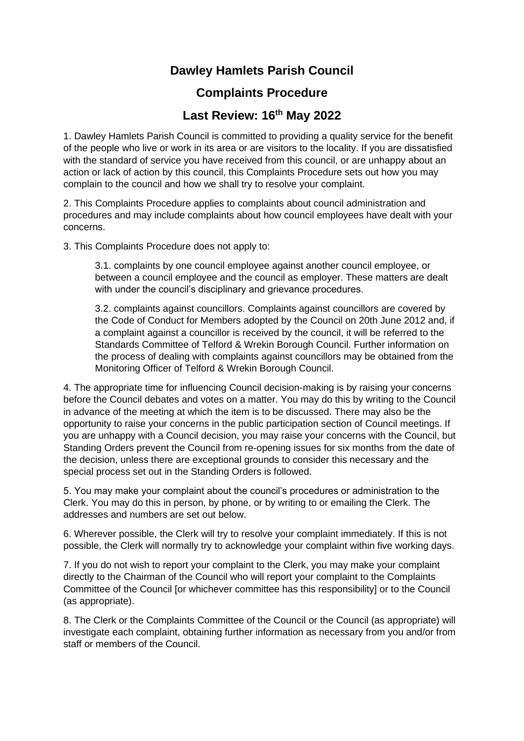## **Dawley Hamlets Parish Council**

## **Complaints Procedure**

## **Last Review: 16th May 2022**

1. Dawley Hamlets Parish Council is committed to providing a quality service for the benefit of the people who live or work in its area or are visitors to the locality. If you are dissatisfied with the standard of service you have received from this council, or are unhappy about an action or lack of action by this council, this Complaints Procedure sets out how you may complain to the council and how we shall try to resolve your complaint.

2. This Complaints Procedure applies to complaints about council administration and procedures and may include complaints about how council employees have dealt with your concerns.

3. This Complaints Procedure does not apply to:

3.1. complaints by one council employee against another council employee, or between a council employee and the council as employer. These matters are dealt with under the council's disciplinary and grievance procedures.

3.2. complaints against councillors. Complaints against councillors are covered by the Code of Conduct for Members adopted by the Council on 20th June 2012 and, if a complaint against a councillor is received by the council, it will be referred to the Standards Committee of Telford & Wrekin Borough Council. Further information on the process of dealing with complaints against councillors may be obtained from the Monitoring Officer of Telford & Wrekin Borough Council.

4. The appropriate time for influencing Council decision-making is by raising your concerns before the Council debates and votes on a matter. You may do this by writing to the Council in advance of the meeting at which the item is to be discussed. There may also be the opportunity to raise your concerns in the public participation section of Council meetings. If you are unhappy with a Council decision, you may raise your concerns with the Council, but Standing Orders prevent the Council from re-opening issues for six months from the date of the decision, unless there are exceptional grounds to consider this necessary and the special process set out in the Standing Orders is followed.

5. You may make your complaint about the council's procedures or administration to the Clerk. You may do this in person, by phone, or by writing to or emailing the Clerk. The addresses and numbers are set out below.

6. Wherever possible, the Clerk will try to resolve your complaint immediately. If this is not possible, the Clerk will normally try to acknowledge your complaint within five working days.

7. If you do not wish to report your complaint to the Clerk, you may make your complaint directly to the Chairman of the Council who will report your complaint to the Complaints Committee of the Council [or whichever committee has this responsibility] or to the Council (as appropriate).

8. The Clerk or the Complaints Committee of the Council or the Council (as appropriate) will investigate each complaint, obtaining further information as necessary from you and/or from staff or members of the Council.